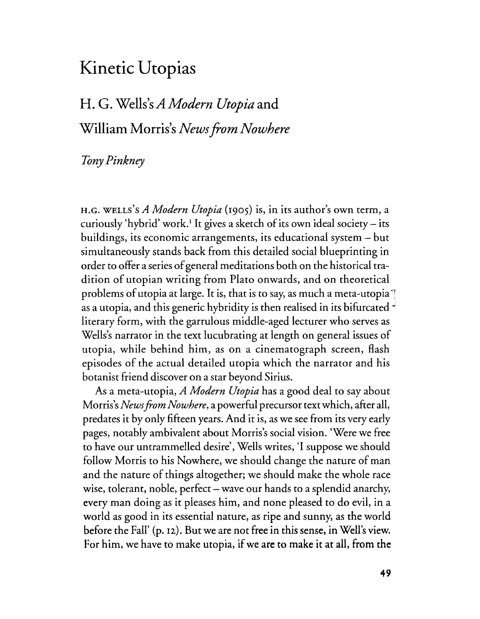## Kinetic Utopias

# H. G. Wells's*A Modern Utopia* and William Morris's *Newsfrom Nowhere*

### *TOny Pinkney*

H.G. WELLS)sA *Modern Utopia* (1905) is, in its author's own term, a curiously 'hybrid' work.<sup>1</sup> It gives a sketch of its own ideal society – its buildings, its economic arrangements, its educational system - but simultaneously stands back from this detailed social blueprinting in order to offer a series of general meditations both on the historical tradition of utopian writing from Plato onwards, and on theoretical problems of utopia at large. It is, that is to say, as much a meta-utopia  $\overline{ }$ as a utopia, and this generic hybridity is then realised in its bifurcated " literary form, with the garrulous middle-aged lecturer who serves as Wells's narrator in the text lucubrating at length on general issues of utopia, while behind him, as on a cinematograph screen, flash episodes of the actual detailed utopia which the narrator and his botanist friend discover on a star beyond Sirius.

As a meta-utopia, *A Modern Utopia* has a good deal to say about Morris's*Newsfrom Nowhere,* a powerful precursor text which, after all, predates it by only fifteen years. And it is, as we see from its very early pages, notably ambivalent about Morris's social vision. 'Were we free to have our untrammelled desire', Wells writes, '1 suppose we should follow Morris to his Nowhere, we should change the nature of man and the nature of things altogether; we should make the whole race wise, tolerant, noble, perfect – wave our hands to a splendid anarchy, every man doing as it pleases him, and none pleased to do evil, in a world as good in its essential nature, as ripe and sunny, as the world before the Fall'  $(p, 12)$ . But we are not free in this sense, in Well's view. For him, we have to make utopia, if we are to make it at all, from the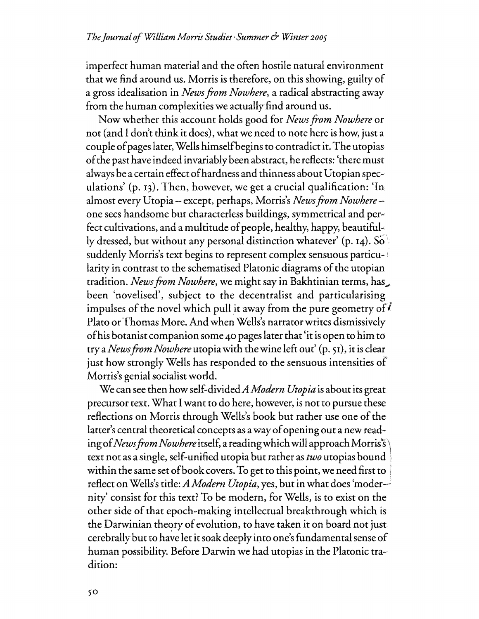imperfect human material and the often hostile natural environment that we find around us. Morris is therefore, on this showing, guilty of a gross idealisation in *Newsfrom Nowhere,* a radical abstracting away from the human complexities we actually find around us.

Now whether this account holds good for *Newsfrom Nowhere* or not (and I don't think it does), what we need to note here is how, just a couple ofpageslater, Wells himselfbegins to contradict it. The utopias ofthe past have indeed invariably been abstract, he reflects: 'there must always be a certain effect ofhardness and thinness about Utopian spec.. ulations' (p. 13). Then, however, we get a crucial qualification: 'In almost every Utopia - except, perhaps, Morris's *Newsfrom Nowhere .....* one sees handsome but characterless buildings, symmetrical and per.. fect cultivations, and a multitude of people, healthy, happy, beautifully dressed, but without any personal distinction whatever' (p. 14). So suddenly Morris's text begins to represent complex sensuous particularity in contrast to the schematised Platonic diagrams of the utopian tradition. *NewsfromNowhere,* we might say in Bakhtinian terms, has; been 'novelised', subject to the decentralist and particularising impulses of the novel which pull it away from the pure geometry of  $\ell$ Plato or Thomas More. And when Wells's narrator writes dismissively ofhis botanist companion some 40 pages later that 'it isopen to him to try a*NewsfromNowhere* utopiawith the wine left out' (p. 51), it is clear just how strongly Wells has responded to the sensuous intensities of Morris's genial socialist world.

We can see then how self-divided*A Modern Utopia* is about its great precursor text. What I want to do here, however, is not to pursue these reflections on Morris through Wells's book but rather use one of the latter's central theoretical concepts as a way of opening out a new reading of *News from Nowhere* itself, a reading which will approach Morris's text not as a single, self-unified utopia but rather as *two* utopias bound within the same set of book covers. To get to this point, we need first to reflect onWells's title: *A Modern Utopia,* yes, but in what does 'moder-> nity' consist for this text? To be modern, for Wells, is to exist on the other side of that epoch-making intellectual breakthrough which is the Darwinian theory of evolution, to have taken it on board not just cerebrally but to have let it soak deeply into one'sfundamental sense of human possibility. Before Darwin we had utopias in the Platonic tradition: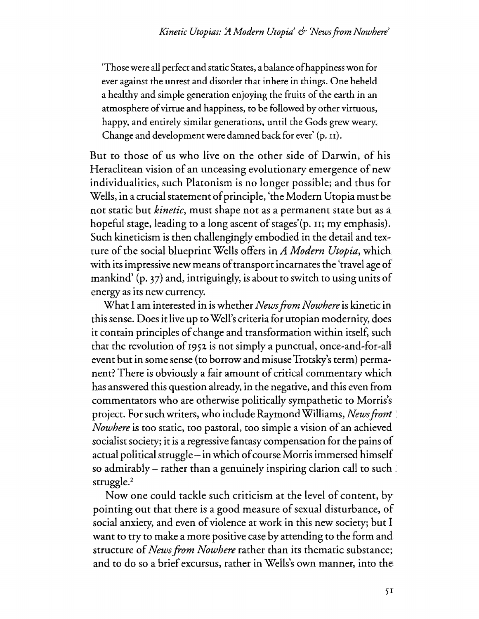'Those were all perfect and static States, a balance of happiness won for ever against the unrest and disorder that inhere in things. One beheld a healthy and simple generation enjoying the fruits of the earth in an atmosphere of virtue and happiness, to be followed by other virtuous, happy, and entirely similar generations, until the Gods grew weary. Change and development were damned back for ever' (p. n).

But to those of us who live on the other side of Darwin, of his Heraclitean vision of an unceasing evolutionary emergence of new individualities, such Platonism is no longer possible; and thus for Wells, in a crucial statement of principle, 'the Modern Utopia must be not static but *kinetic,* must shape not as a permanent state but as a hopeful stage, leading to a long ascent of stages'(p. 11; my emphasis). Such kineticism is then challengingly embodied in the detail and texture of the social blueprint Wells offers in *A Modern Utopia*, which with its impressive new means of transport incarnates the 'travel age of mankind' (p, 37) and, intriguingly, is about to switch to using units of energy as its new currency.

What I am interested in iswhether *Newsfrom Nowhere* is kinetic in thissense. Doesit live up to Well's criteria for utopian modernity, does it contain principles of change and transformation within itself, such that the revolution of 1952 is not simply a punctual, once-and-for-all event but in some sense (to borrow and misuse Trotsky's term) permanent? There is obviously a fair amount of critical commentary which has answered this question already, in the negative, and this even from commentators who are otherwise politically sympathetic to Morris's project. For such writers, who include RaymondWilliams, *Newsfrom Nowhere* is too static, too pastoral, too simple a vision of an achieved socialist society; it is a regressive fantasy compensation for the pains of actual political struggle – in which of course Morris immersed himself so admirably - rather than a genuinely inspiring clarion call to such  $struggle.<sup>2</sup>$ 

Now one could tackle such criticism at the level of content, by pointing out that there is a good measure of sexual disturbance, of social anxiety, and even of violence at work in this new society; but I want to try to make a more positive case by attending to the form and structure of*Newsfrom Nowhere* rather than its thematic substance; and to do so a brief excursus, rather in Wells's own manner, into the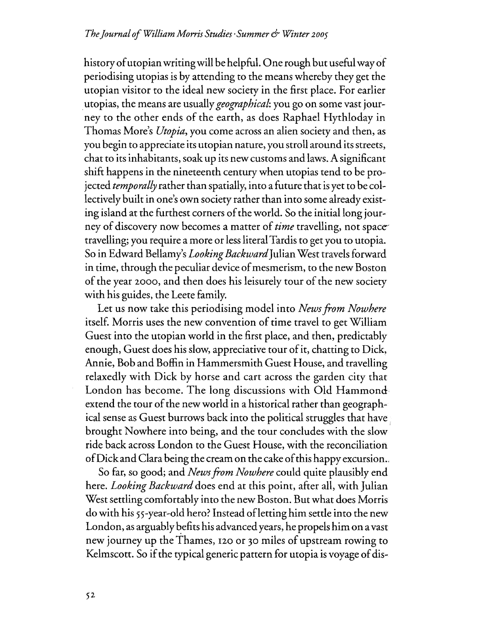history of utopian writing will be helpful. One rough but useful way of periodising utopias is by attending to the means whereby they get the utopian visitor to the ideal new society in the first place. For earlier .utopias, the means are usually *geographical:* you go on some vast journey to the other ends of the earth, as does Raphael Hythloday in Thomas More's *Utopia,* you come across an alien society and then, as you begin to appreciate its utopian nature, you stroll around its streets, chat to its inhabitants, soak up its new customs and laws.A significant shift happens in the nineteenth century when utopias tend to be projected *temporally* rather than spatially, into a future that isyet to be collectively built in one's own society rather than into some already existing island at the furthest corners of the world. So the initial long journey of discovery now becomes a matter of*time* travelling, not space-' travelling; you require a more or lessliteral Tardis to get you to utopia. So in Edward Bellamy's *Looking Backward* Julian West travels forward in time, through the peculiar device of mesmerism, to the new Boston of the year 2000, and then does his leisurely tour of the new society with his guides, the Leete family.

Let us now take this periodising model into *Newsfrom Nowhere* itself. Morris uses the new convention of time travel to get William Guest into the utopian world in the first place, and then, predictably enough, Guest does his slow, appreciative tour of it, chatting to Dick, Annie, Bob and Boffin in Hammersmith Guest House, and travelling relaxedly with Dick by horse and cart across the garden city that London has become. The long discussions with Old Hammond extend the tour of the new world in a historical rather than geographical sense as Guest burrows back into the political struggles that have brought Nowhere into being, and the tour concludes with the slow ride back across London to the Guest House, with the reconciliation ofDickand Clara being the cream on the cake ofthis happy excursion..

So far, so good; and *Newsfrom Nowhere* could quite plausibly end here. *Looking Backward* does end at this point, after all, with Julian West settling comfortably into the new Boston. But what does Morris do with his 55-year-old hero? Instead of letting him settle into the new London, as arguably befits his advanced years, he propels him on a vast new journey up the Thames, 120 or 30 miles of upstream rowing to Kelmscott. So if the typical generic pattern for utopia is voyage of dis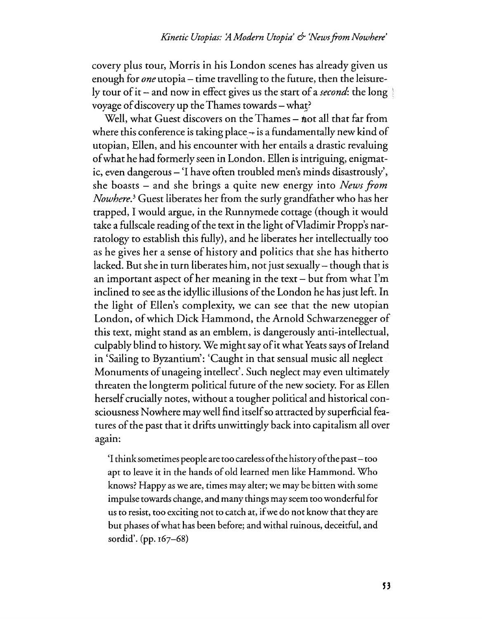covery plus tour, Morris in his London scenes has already given us enough for *one* utopia – time travelling to the future, then the leisurely tour of it – and now in effect gives us the start of a *second*: the long voyage of discovery up the Thames towards – what?

Well, what Guest discovers on the Thames – not all that far from where this conference is taking place  $+$  is a fundamentally new kind of utopian, Ellen, and his encounter with her entails a drastic revaluing ofwhat he had formerly seen in London. Ellen isintriguing, enigmatic, even dangerous – 'I have often troubled men's minds disastrously', she boasts - and she brings a quite new energy into *News from Nowhere?* Guest liberates her from the surly grandfather who has her trapped, I would argue, in the Runnymede cottage (though it would take a fullscale reading of the text in the light of Vladimir Propp's narratology to establish this fully), and he liberates her intellectually too as he gives her a sense of history and politics that she has hitherto lacked. But she in turn liberates him, not just sexually – though that is an important aspect of her meaning in the text  $-$  but from what I'm inclined to see as the idyllic illusions of the London he has just left. In the light of Ellen's complexity, we can see that the new utopian London, of which Dick Hammond, the Arnold Schwarzenegger of this text, might stand as an emblem, is dangerously anti-intellectual, culpably blind to history. We might say of it what Yeats says of Ireland in 'Sailing to Byzantium': 'Caught in that sensual music all neglect Monuments of unageing intellect'. Such neglect may even ultimately threaten the longterm political future of the new society. For as Ellen herself crucially notes, without a tougher political and historical consciousness Nowhere may well find itself so attracted by superficial features of the past that it drifts unwittingly back into capitalism all over agam:

'I thinksometimes people are too carelessofthe historyofthe past- too apt to leave it in the hands of old learned men like Hammond. Who knows? Happy as we are, times may alter; we may be bitten with some impulse towards change, and many things mayseem too wonderful fot us to resist, too exciting not to catch at, ifwe do not know that they are but phases ofwhat has been before; and withal ruinous, deceitful, and sordid'. (pp. 167-68)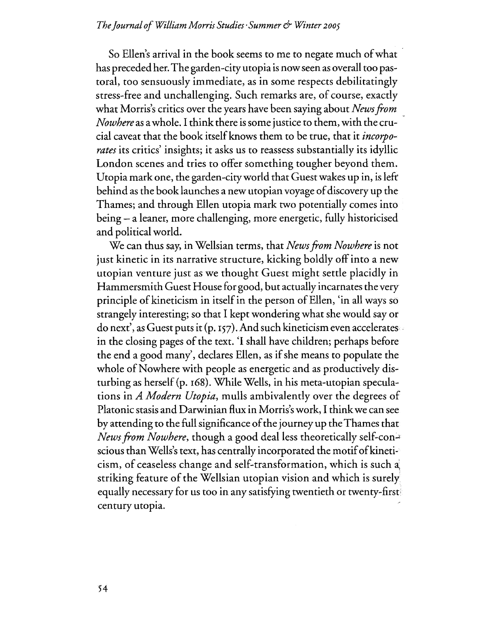#### *TheJournal ofWilliam Morris Studies'Summer* & *Winter <sup>2005</sup>*

So Ellen's arrival in the book seems to me to negate much of what has preceded her. The garden-city utopia is now seen as overall too pastoral, too sensuously immediate, as in some respects debilitatingly stress-free and unchallenging. Such remarks are, of course, exactly what Morris's critics over the years have been saying about *Newsfrom Nowhere* as a whole. I think there is some justice to them, with the crucial caveat that the book itself knows them to be true, that it *incorporates* its critics' insights; it asks us to reassess substantially its idyllic London scenes and tries to offer something tougher beyond them. Utopia mark one, the garden-cityworld that Guest wakes up in, isleft' behind as the book launches a new utopian voyage of discovery up the Thames; and through Ellen utopia mark two potentially comes into being - a leaner, more challenging, more energetic, fully historicised and political world.

We can thus say, in Wellsian terms, that *News from Nowhere* is not just kinetic in its narrative structure, kicking boldly offinto a new utopian venture just as we thought Guest might settle placidly in Hammersmith Guest House for good, but actually incarnates the very principle of kineticism in itself in the person of Ellen, 'in all ways so strangely interesting; so that I kept wondering what she would say or do next', as Guest puts it (p. 157). And such kineticism even accelerates in the closing pages of the text. 'I shall have children; perhaps before the end a good many', declares Ellen, as if she means to populate the whole of Nowhere with people as energetic and as productively disturbing as herself(p. 168). While Wells, in his meta-utopian speculations in *A Modern Utopia,* mulls ambivalently over the degrees of Platonic stasis and Darwinian flux in Morris's work, I thinkwe can see by attending to the full significance of the journey up the Thames that *News from Nowhere,* though a good deal less theoretically self-conscious than Wells's text, has centrally incorporated the motif of kineticism, of ceaseless change and self-transformation, which is such striking feature of the Wellsian utopian vision and which is surely equally necessary for us too in any satisfying twentieth or twenty-first: century utopia.